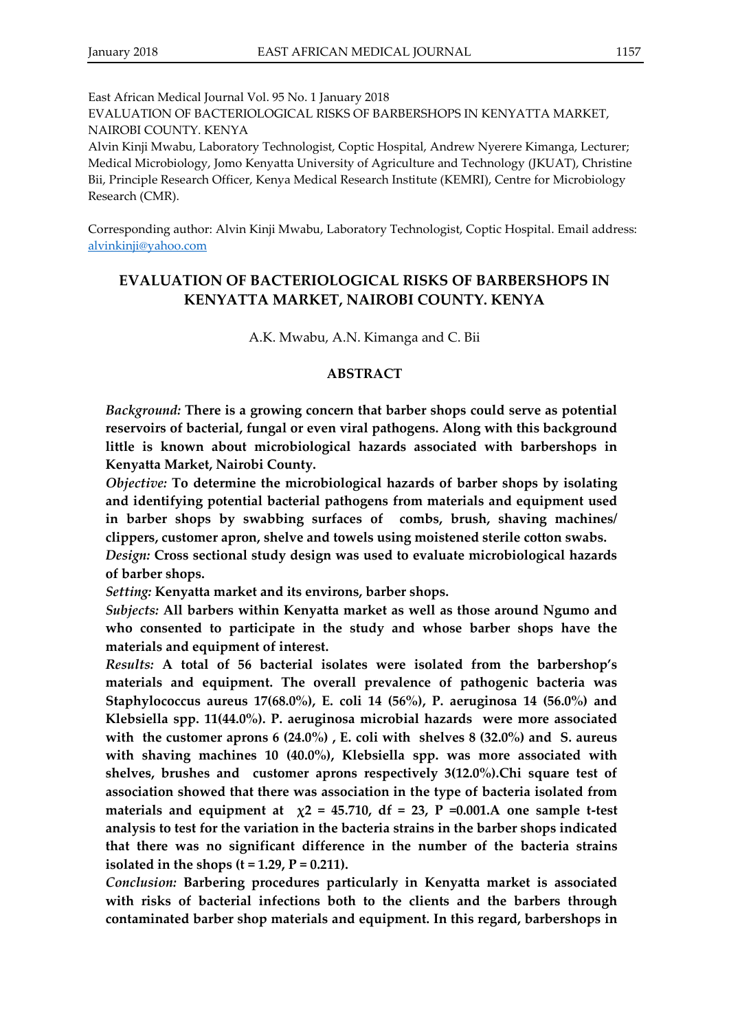Corresponding author: Alvin Kinji Mwabu, Laboratory Technologist, Coptic Hospital. Email address: [alvinkinji@yahoo.com](mailto:alvinkinji@yahoo.com)

# **EVALUATION OF BACTERIOLOGICAL RISKS OF BARBERSHOPS IN KENYATTA MARKET, NAIROBI COUNTY. KENYA**

A.K. Mwabu, A.N. Kimanga and C. Bii

### **ABSTRACT**

*Background:* **There is a growing concern that barber shops could serve as potential reservoirs of bacterial, fungal or even viral pathogens. Along with this background little is known about microbiological hazards associated with barbershops in Kenyatta Market, Nairobi County.**

*Objective:* **To determine the microbiological hazards of barber shops by isolating and identifying potential bacterial pathogens from materials and equipment used in barber shops by swabbing surfaces of combs, brush, shaving machines/ clippers, customer apron, shelve and towels using moistened sterile cotton swabs.**

*Design:* **Cross sectional study design was used to evaluate microbiological hazards of barber shops.**

*Setting:* **Kenyatta market and its environs, barber shops.**

*Subjects:* **All barbers within Kenyatta market as well as those around Ngumo and who consented to participate in the study and whose barber shops have the materials and equipment of interest.** 

*Results:* **A total of 56 bacterial isolates were isolated from the barbershop's materials and equipment. The overall prevalence of pathogenic bacteria was Staphylococcus aureus 17(68.0%), E. coli 14 (56%), P. aeruginosa 14 (56.0%) and Klebsiella spp. 11(44.0%). P. aeruginosa microbial hazards were more associated with the customer aprons 6 (24.0%) , E. coli with shelves 8 (32.0%) and S. aureus with shaving machines 10 (40.0%), Klebsiella spp. was more associated with shelves, brushes and customer aprons respectively 3(12.0%).Chi square test of association showed that there was association in the type of bacteria isolated from**  materials and equipment at  $\chi$ 2 = 45.710, df = 23, P = 0.001.A one sample t-test **analysis to test for the variation in the bacteria strains in the barber shops indicated that there was no significant difference in the number of the bacteria strains isolated in the shops (t = 1.29, P = 0.211).**

*Conclusion:* **Barbering procedures particularly in Kenyatta market is associated with risks of bacterial infections both to the clients and the barbers through contaminated barber shop materials and equipment. In this regard, barbershops in**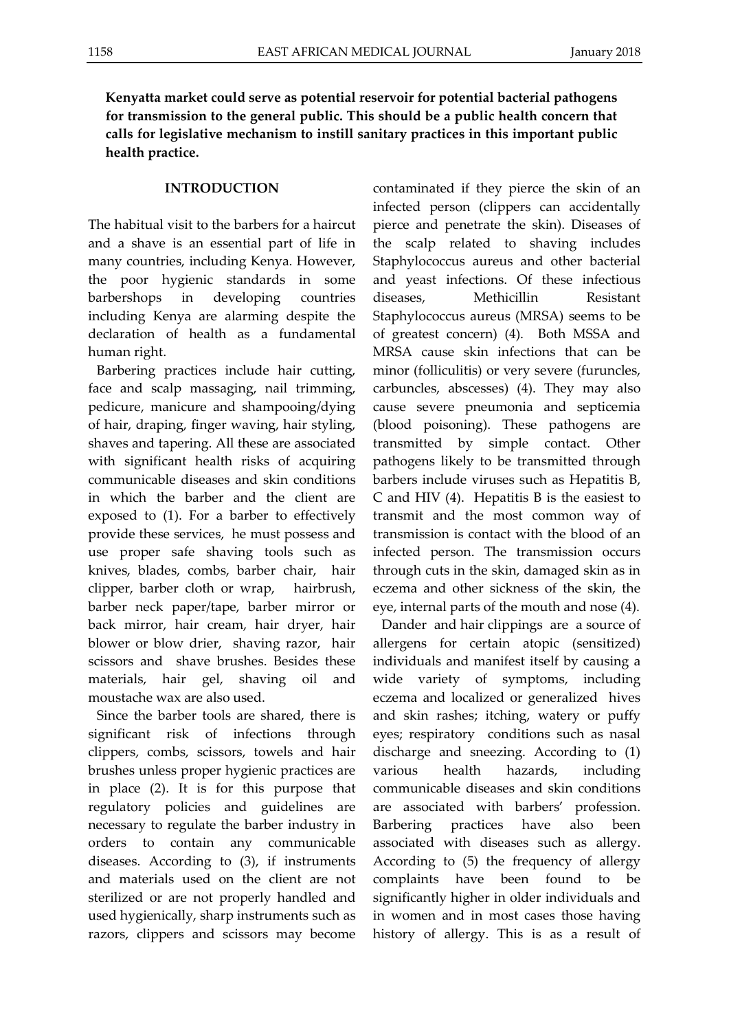**Kenyatta market could serve as potential reservoir for potential bacterial pathogens for transmission to the general public. This should be a public health concern that calls for legislative mechanism to instill sanitary practices in this important public health practice.**

### **INTRODUCTION**

The habitual visit to the barbers for a haircut and a shave is an essential part of life in many countries, including Kenya. However, the poor hygienic standards in some barbershops in developing countries including Kenya are alarming despite the declaration of health as a fundamental human right.

Barbering practices include hair cutting, face and scalp massaging, nail trimming, pedicure, manicure and shampooing/dying of hair, draping, finger waving, hair styling, shaves and tapering. All these are associated with significant health risks of acquiring communicable diseases and skin conditions in which the barber and the client are exposed to (1). For a barber to effectively provide these services, he must possess and use proper safe shaving tools such as knives, blades, combs, barber chair, hair clipper, barber cloth or wrap, hairbrush, barber neck paper/tape, barber mirror or back mirror, hair cream, hair dryer, hair blower or blow drier, shaving razor, hair scissors and shave brushes. Besides these materials, hair gel, shaving oil and moustache wax are also used.

Since the barber tools are shared, there is significant risk of infections through clippers, combs, scissors, towels and hair brushes unless proper hygienic practices are in place (2). It is for this purpose that regulatory policies and guidelines are necessary to regulate the barber industry in orders to contain any communicable diseases. According to (3), if instruments and materials used on the client are not sterilized or are not properly handled and used hygienically, sharp instruments such as razors, clippers and scissors may become contaminated if they pierce the skin of an infected person (clippers can accidentally pierce and penetrate the skin). Diseases of the scalp related to shaving includes Staphylococcus aureus and other bacterial and yeast infections. Of these infectious diseases, Methicillin Resistant Staphylococcus aureus (MRSA) seems to be of greatest concern) (4). Both MSSA and MRSA cause skin infections that can be minor (folliculitis) or very severe (furuncles, carbuncles, abscesses) (4). They may also cause severe pneumonia and septicemia (blood poisoning). These pathogens are transmitted by simple contact. Other pathogens likely to be transmitted through barbers include viruses such as Hepatitis B, C and HIV (4). Hepatitis B is the easiest to transmit and the most common way of transmission is contact with the blood of an infected person. The transmission occurs through cuts in the skin, damaged skin as in eczema and other sickness of the skin, the eye, internal parts of the mouth and nose (4).

Dander and hair clippings are a source of allergens for certain atopic (sensitized) individuals and manifest itself by causing a wide variety of symptoms, including eczema and localized or generalized hives and skin rashes; itching, watery or puffy eyes; respiratory conditions such as nasal discharge and sneezing. According to (1) various health hazards, including communicable diseases and skin conditions are associated with barbers' profession. Barbering practices have also been associated with diseases such as allergy. According to (5) the frequency of allergy complaints have been found to be significantly higher in older individuals and in women and in most cases those having history of allergy. This is as a result of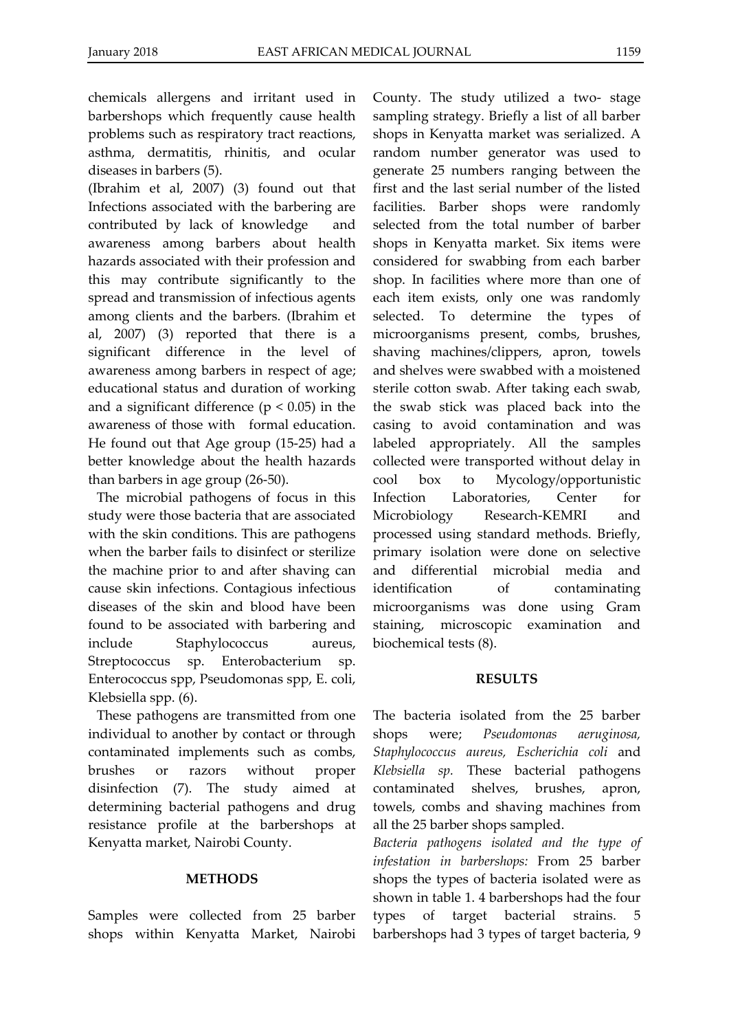chemicals allergens and irritant used in barbershops which frequently cause health problems such as respiratory tract reactions, asthma, dermatitis, rhinitis, and ocular diseases in barbers (5).

(Ibrahim et al, 2007) (3) found out that Infections associated with the barbering are contributed by lack of knowledge and awareness among barbers about health hazards associated with their profession and this may contribute significantly to the spread and transmission of infectious agents among clients and the barbers. (Ibrahim et al, 2007) (3) reported that there is a significant difference in the level of awareness among barbers in respect of age; educational status and duration of working and a significant difference ( $p < 0.05$ ) in the awareness of those with formal education. He found out that Age group (15-25) had a better knowledge about the health hazards than barbers in age group (26-50).

The microbial pathogens of focus in this study were those bacteria that are associated with the skin conditions. This are pathogens when the barber fails to disinfect or sterilize the machine prior to and after shaving can cause skin infections. Contagious infectious diseases of the skin and blood have been found to be associated with barbering and include Staphylococcus aureus, Streptococcus sp. Enterobacterium sp. Enterococcus spp, Pseudomonas spp, E. coli, Klebsiella spp. (6).

These pathogens are transmitted from one individual to another by contact or through contaminated implements such as combs, brushes or razors without proper disinfection (7). The study aimed at determining bacterial pathogens and drug resistance profile at the barbershops at Kenyatta market, Nairobi County.

# **METHODS**

Samples were collected from 25 barber shops within Kenyatta Market, Nairobi

County. The study utilized a two- stage sampling strategy. Briefly a list of all barber shops in Kenyatta market was serialized. A random number generator was used to generate 25 numbers ranging between the first and the last serial number of the listed facilities. Barber shops were randomly selected from the total number of barber shops in Kenyatta market. Six items were considered for swabbing from each barber shop. In facilities where more than one of each item exists, only one was randomly selected. To determine the types of microorganisms present, combs, brushes, shaving machines/clippers, apron, towels and shelves were swabbed with a moistened sterile cotton swab. After taking each swab, the swab stick was placed back into the casing to avoid contamination and was labeled appropriately. All the samples collected were transported without delay in cool box to Mycology/opportunistic Infection Laboratories, Center for Microbiology Research-KEMRI and processed using standard methods. Briefly, primary isolation were done on selective and differential microbial media and identification of contaminating microorganisms was done using Gram staining, microscopic examination and biochemical tests (8).

# **RESULTS**

The bacteria isolated from the 25 barber shops were; *Pseudomonas aeruginosa, Staphylococcus aureus, Escherichia coli* and *Klebsiella sp.* These bacterial pathogens contaminated shelves, brushes, apron, towels, combs and shaving machines from all the 25 barber shops sampled.

*Bacteria pathogens isolated and the type of infestation in barbershops:* From 25 barber shops the types of bacteria isolated were as shown in table 1. 4 barbershops had the four types of target bacterial strains. 5 barbershops had 3 types of target bacteria, 9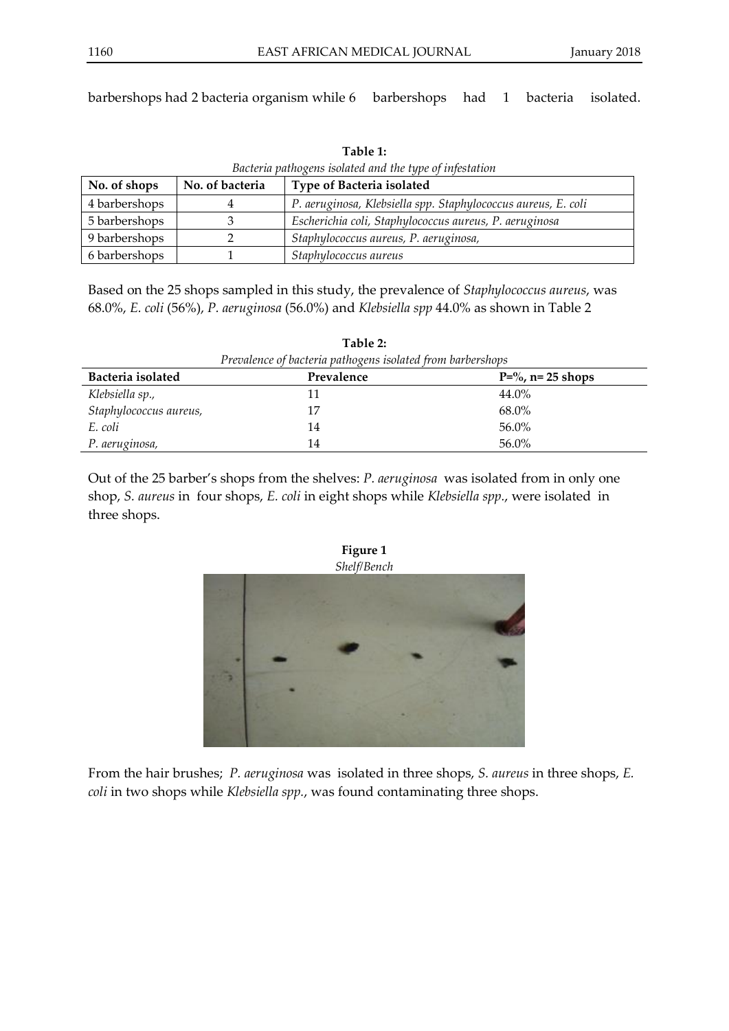barbershops had 2 bacteria organism while 6 barbershops had 1 bacteria isolated.

| Bacteria pathogens isolated and the type of infestation |                 |                                                               |  |  |
|---------------------------------------------------------|-----------------|---------------------------------------------------------------|--|--|
| No. of shops                                            | No. of bacteria | Type of Bacteria isolated                                     |  |  |
| 4 barbershops                                           |                 | P. aeruginosa, Klebsiella spp. Staphylococcus aureus, E. coli |  |  |
| 5 barbershops                                           |                 | Escherichia coli, Staphylococcus aureus, P. aeruginosa        |  |  |
| 9 barbershops                                           |                 | Staphylococcus aureus, P. aeruginosa,                         |  |  |
| 6 barbershops                                           |                 | Staphylococcus aureus                                         |  |  |

**Table 1:**

Based on the 25 shops sampled in this study, the prevalence of *Staphylococcus aureus*, was 68.0%, *E. coli* (56%), *P. aeruginosa* (56.0%) and *Klebsiella spp* 44.0% as shown in Table 2

| Table 2:                                                   |            |                                 |  |  |  |
|------------------------------------------------------------|------------|---------------------------------|--|--|--|
| Prevalence of bacteria pathogens isolated from barbershops |            |                                 |  |  |  |
| Bacteria isolated                                          | Prevalence | $P = \frac{9}{6}$ , n= 25 shops |  |  |  |
| Klebsiella sp.,                                            | 11         | 44.0%                           |  |  |  |
| Staphylococcus aureus,                                     | 17         | 68.0%                           |  |  |  |
| E. coli                                                    | 14         | 56.0%                           |  |  |  |
| P. aeruginosa,                                             | 14         | 56.0%                           |  |  |  |

Out of the 25 barber's shops from the shelves: *P. aeruginosa* was isolated from in only one shop, *S. aureus* in four shops, *E. coli* in eight shops while *Klebsiella spp.*, were isolated in three shops.



From the hair brushes; *P. aeruginosa* was isolated in three shops, *S. aureus* in three shops, *E. coli* in two shops while *Klebsiella spp.*, was found contaminating three shops.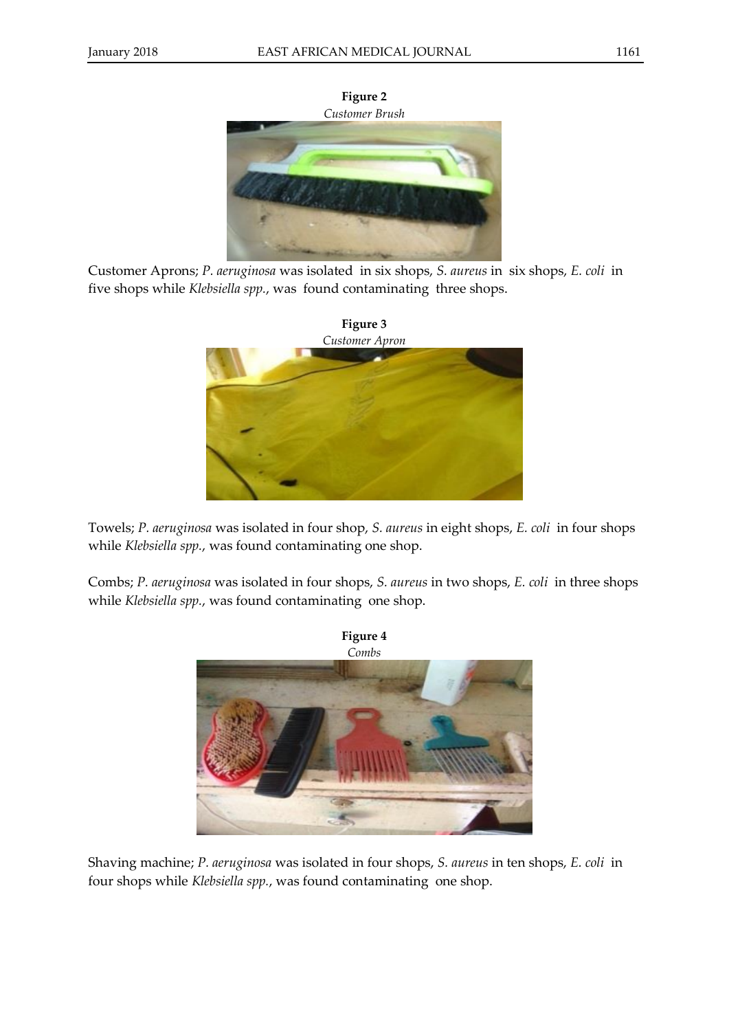**Figure 2** *Customer Brush*

Customer Aprons; *P. aeruginosa* was isolated in six shops, *S. aureus* in six shops, *E. coli* in five shops while *Klebsiella spp.*, was found contaminating three shops.



Towels; *P. aeruginosa* was isolated in four shop, *S. aureus* in eight shops, *E. coli* in four shops while *Klebsiella spp.*, was found contaminating one shop.

Combs; *P. aeruginosa* was isolated in four shops, *S. aureus* in two shops, *E. coli* in three shops while *Klebsiella spp.*, was found contaminating one shop.



Shaving machine; *P. aeruginosa* was isolated in four shops, *S. aureus* in ten shops, *E. coli* in four shops while *Klebsiella spp.*, was found contaminating one shop.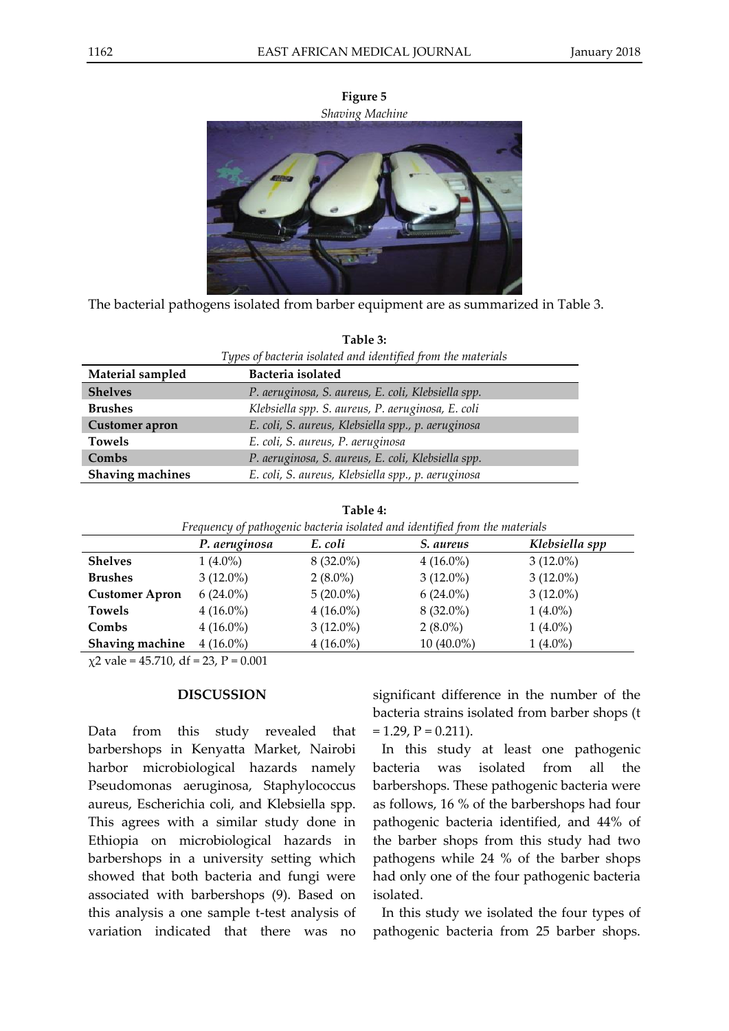

**Figure 5** *Shaving Machine*

The bacterial pathogens isolated from barber equipment are as summarized in Table 3.

**Table 3:**

| Types of bacteria isolated and identified from the materials |                                                    |  |  |
|--------------------------------------------------------------|----------------------------------------------------|--|--|
| Material sampled                                             | Bacteria isolated                                  |  |  |
| <b>Shelves</b>                                               | P. aeruginosa, S. aureus, E. coli, Klebsiella spp. |  |  |
| <b>Brushes</b>                                               | Klebsiella spp. S. aureus, P. aeruginosa, E. coli  |  |  |
| <b>Customer</b> apron                                        | E. coli, S. aureus, Klebsiella spp., p. aeruginosa |  |  |
| <b>Towels</b>                                                | E. coli, S. aureus, P. aeruginosa                  |  |  |
| Combs                                                        | P. aeruginosa, S. aureus, E. coli, Klebsiella spp. |  |  |
| Shaving machines                                             | E. coli, S. aureus, Klebsiella spp., p. aeruginosa |  |  |

|  | Table 4: |  |  |  |
|--|----------|--|--|--|
|  |          |  |  |  |

| Frequency of pathogenic bacteria isolated and identified from the materials |               |             |              |                |
|-----------------------------------------------------------------------------|---------------|-------------|--------------|----------------|
|                                                                             | P. aeruginosa | E. coli     | S. aureus    | Klebsiella spp |
| <b>Shelves</b>                                                              | $1(4.0\%)$    | $8(32.0\%)$ | $4(16.0\%)$  | $3(12.0\%)$    |
| <b>Brushes</b>                                                              | $3(12.0\%)$   | $2(8.0\%)$  | $3(12.0\%)$  | $3(12.0\%)$    |
| <b>Customer Apron</b>                                                       | $6(24.0\%)$   | $5(20.0\%)$ | $6(24.0\%)$  | $3(12.0\%)$    |
| <b>Towels</b>                                                               | $4(16.0\%)$   | $4(16.0\%)$ | $8(32.0\%)$  | $1(4.0\%)$     |
| Combs                                                                       | $4(16.0\%)$   | $3(12.0\%)$ | $2(8.0\%)$   | $1(4.0\%)$     |
| Shaving machine                                                             | $4(16.0\%)$   | $4(16.0\%)$ | $10(40.0\%)$ | $1(4.0\%)$     |

 $\chi$ 2 vale = 45.710, df = 23, P = 0.001

### **DISCUSSION**

Data from this study revealed that barbershops in Kenyatta Market, Nairobi harbor microbiological hazards namely Pseudomonas aeruginosa, Staphylococcus aureus, Escherichia coli, and Klebsiella spp. This agrees with a similar study done in Ethiopia on microbiological hazards in barbershops in a university setting which showed that both bacteria and fungi were associated with barbershops (9). Based on this analysis a one sample t-test analysis of variation indicated that there was no

significant difference in the number of the bacteria strains isolated from barber shops (t  $= 1.29$ ,  $P = 0.211$ ).

In this study at least one pathogenic bacteria was isolated from all the barbershops. These pathogenic bacteria were as follows, 16 % of the barbershops had four pathogenic bacteria identified, and 44% of the barber shops from this study had two pathogens while 24 % of the barber shops had only one of the four pathogenic bacteria isolated.

In this study we isolated the four types of pathogenic bacteria from 25 barber shops.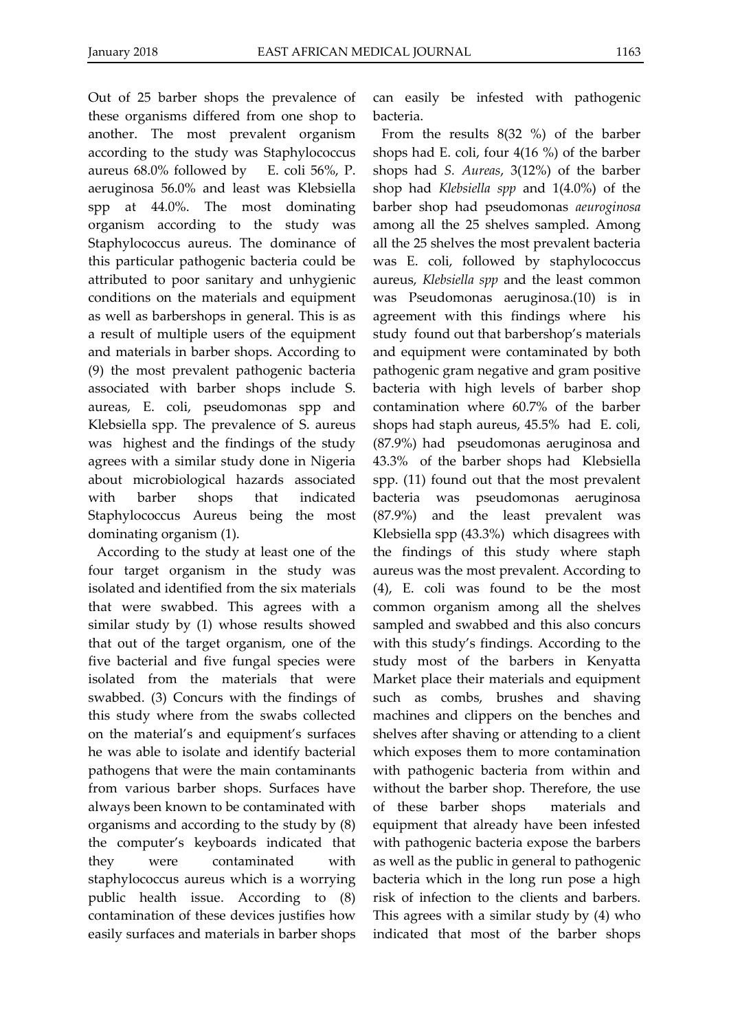Out of 25 barber shops the prevalence of these organisms differed from one shop to another. The most prevalent organism according to the study was Staphylococcus aureus 68.0% followed by E. coli 56%, P. aeruginosa 56.0% and least was Klebsiella spp at 44.0%. The most dominating organism according to the study was Staphylococcus aureus. The dominance of this particular pathogenic bacteria could be attributed to poor sanitary and unhygienic conditions on the materials and equipment as well as barbershops in general. This is as a result of multiple users of the equipment and materials in barber shops. According to (9) the most prevalent pathogenic bacteria associated with barber shops include S. aureas, E. coli, pseudomonas spp and Klebsiella spp. The prevalence of S. aureus was highest and the findings of the study agrees with a similar study done in Nigeria about microbiological hazards associated with barber shops that indicated Staphylococcus Aureus being the most dominating organism (1).

According to the study at least one of the four target organism in the study was isolated and identified from the six materials that were swabbed. This agrees with a similar study by (1) whose results showed that out of the target organism, one of the five bacterial and five fungal species were isolated from the materials that were swabbed. (3) Concurs with the findings of this study where from the swabs collected on the material's and equipment's surfaces he was able to isolate and identify bacterial pathogens that were the main contaminants from various barber shops. Surfaces have always been known to be contaminated with organisms and according to the study by (8) the computer's keyboards indicated that they were contaminated with staphylococcus aureus which is a worrying public health issue. According to (8) contamination of these devices justifies how easily surfaces and materials in barber shops

can easily be infested with pathogenic bacteria.

From the results 8(32 %) of the barber shops had E. coli, four 4(16 %) of the barber shops had *S. Aureas*, 3(12%) of the barber shop had *Klebsiella spp* and 1(4.0%) of the barber shop had pseudomonas *aeuroginosa* among all the 25 shelves sampled. Among all the 25 shelves the most prevalent bacteria was E. coli, followed by staphylococcus aureus, *Klebsiella spp* and the least common was Pseudomonas aeruginosa.(10) is in agreement with this findings where his study found out that barbershop's materials and equipment were contaminated by both pathogenic gram negative and gram positive bacteria with high levels of barber shop contamination where 60.7% of the barber shops had staph aureus, 45.5% had E. coli, (87.9%) had pseudomonas aeruginosa and 43.3% of the barber shops had Klebsiella spp. (11) found out that the most prevalent bacteria was pseudomonas aeruginosa (87.9%) and the least prevalent was Klebsiella spp (43.3%) which disagrees with the findings of this study where staph aureus was the most prevalent. According to (4), E. coli was found to be the most common organism among all the shelves sampled and swabbed and this also concurs with this study's findings. According to the study most of the barbers in Kenyatta Market place their materials and equipment such as combs, brushes and shaving machines and clippers on the benches and shelves after shaving or attending to a client which exposes them to more contamination with pathogenic bacteria from within and without the barber shop. Therefore, the use of these barber shops materials and equipment that already have been infested with pathogenic bacteria expose the barbers as well as the public in general to pathogenic bacteria which in the long run pose a high risk of infection to the clients and barbers. This agrees with a similar study by (4) who indicated that most of the barber shops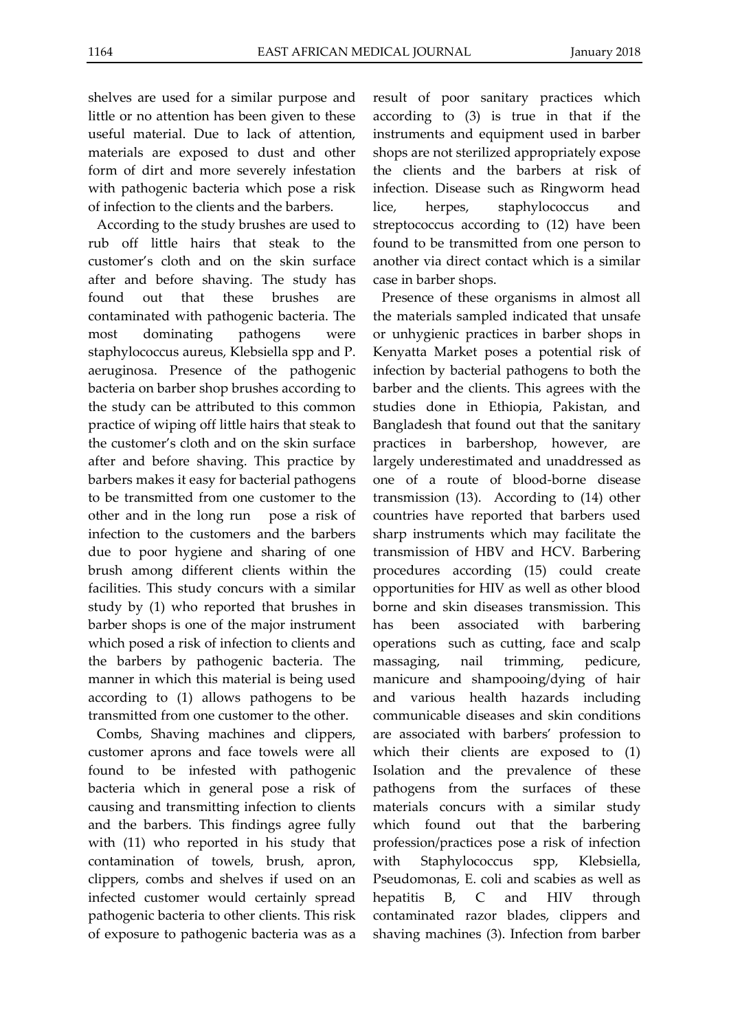shelves are used for a similar purpose and little or no attention has been given to these useful material. Due to lack of attention, materials are exposed to dust and other form of dirt and more severely infestation with pathogenic bacteria which pose a risk of infection to the clients and the barbers.

According to the study brushes are used to rub off little hairs that steak to the customer's cloth and on the skin surface after and before shaving. The study has found out that these brushes are contaminated with pathogenic bacteria. The most dominating pathogens were staphylococcus aureus, Klebsiella spp and P. aeruginosa. Presence of the pathogenic bacteria on barber shop brushes according to the study can be attributed to this common practice of wiping off little hairs that steak to the customer's cloth and on the skin surface after and before shaving. This practice by barbers makes it easy for bacterial pathogens to be transmitted from one customer to the other and in the long run pose a risk of infection to the customers and the barbers due to poor hygiene and sharing of one brush among different clients within the facilities. This study concurs with a similar study by (1) who reported that brushes in barber shops is one of the major instrument which posed a risk of infection to clients and the barbers by pathogenic bacteria. The manner in which this material is being used according to (1) allows pathogens to be transmitted from one customer to the other.

Combs, Shaving machines and clippers, customer aprons and face towels were all found to be infested with pathogenic bacteria which in general pose a risk of causing and transmitting infection to clients and the barbers. This findings agree fully with (11) who reported in his study that contamination of towels, brush, apron, clippers, combs and shelves if used on an infected customer would certainly spread pathogenic bacteria to other clients. This risk of exposure to pathogenic bacteria was as a result of poor sanitary practices which according to (3) is true in that if the instruments and equipment used in barber shops are not sterilized appropriately expose the clients and the barbers at risk of infection. Disease such as Ringworm head lice, herpes, staphylococcus and streptococcus according to (12) have been found to be transmitted from one person to another via direct contact which is a similar case in barber shops.

Presence of these organisms in almost all the materials sampled indicated that unsafe or unhygienic practices in barber shops in Kenyatta Market poses a potential risk of infection by bacterial pathogens to both the barber and the clients. This agrees with the studies done in Ethiopia, Pakistan, and Bangladesh that found out that the sanitary practices in barbershop, however, are largely underestimated and unaddressed as one of a route of blood-borne disease transmission (13). According to (14) other countries have reported that barbers used sharp instruments which may facilitate the transmission of HBV and HCV. Barbering procedures according (15) could create opportunities for HIV as well as other blood borne and skin diseases transmission. This has been associated with barbering operations such as cutting, face and scalp massaging, nail trimming, pedicure, manicure and shampooing/dying of hair and various health hazards including communicable diseases and skin conditions are associated with barbers' profession to which their clients are exposed to (1) Isolation and the prevalence of these pathogens from the surfaces of these materials concurs with a similar study which found out that the barbering profession/practices pose a risk of infection with Staphylococcus spp, Klebsiella, Pseudomonas, E. coli and scabies as well as hepatitis B, C and HIV through contaminated razor blades, clippers and shaving machines (3). Infection from barber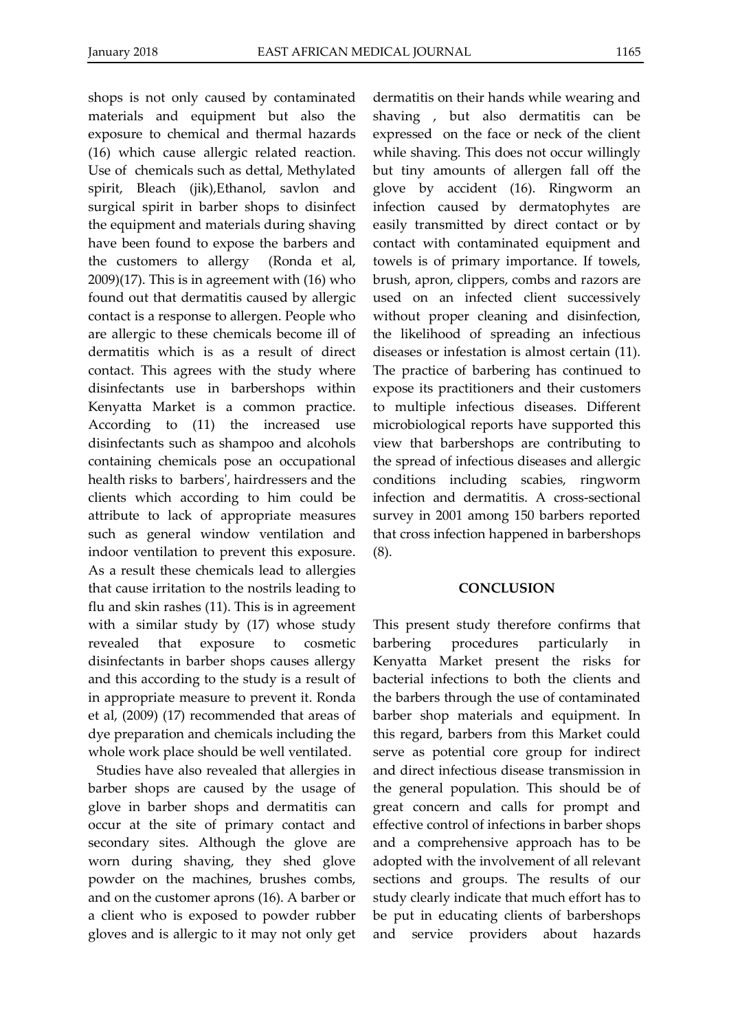shops is not only caused by contaminated materials and equipment but also the exposure to chemical and thermal hazards (16) which cause allergic related reaction. Use of chemicals such as dettal, Methylated spirit, Bleach (jik),Ethanol, savlon and surgical spirit in barber shops to disinfect the equipment and materials during shaving have been found to expose the barbers and the customers to allergy (Ronda et al, 2009)(17). This is in agreement with (16) who found out that dermatitis caused by allergic contact is a response to allergen. People who are allergic to these chemicals become ill of dermatitis which is as a result of direct contact. This agrees with the study where disinfectants use in barbershops within Kenyatta Market is a common practice. According to (11) the increased use disinfectants such as shampoo and alcohols containing chemicals pose an occupational health risks to barbers', hairdressers and the clients which according to him could be attribute to lack of appropriate measures such as general window ventilation and indoor ventilation to prevent this exposure. As a result these chemicals lead to allergies that cause irritation to the nostrils leading to flu and skin rashes (11). This is in agreement with a similar study by (17) whose study revealed that exposure to cosmetic disinfectants in barber shops causes allergy and this according to the study is a result of in appropriate measure to prevent it. Ronda et al, (2009) (17) recommended that areas of dye preparation and chemicals including the whole work place should be well ventilated.

Studies have also revealed that allergies in barber shops are caused by the usage of glove in barber shops and dermatitis can occur at the site of primary contact and secondary sites. Although the glove are worn during shaving, they shed glove powder on the machines, brushes combs, and on the customer aprons (16). A barber or a client who is exposed to powder rubber gloves and is allergic to it may not only get

dermatitis on their hands while wearing and shaving , but also dermatitis can be expressed on the face or neck of the client while shaving. This does not occur willingly but tiny amounts of allergen fall off the glove by accident (16). Ringworm an infection caused by dermatophytes are easily transmitted by direct contact or by contact with contaminated equipment and towels is of primary importance. If towels, brush, apron, clippers, combs and razors are used on an infected client successively without proper cleaning and disinfection, the likelihood of spreading an infectious diseases or infestation is almost certain (11). The practice of barbering has continued to expose its practitioners and their customers to multiple infectious diseases. Different microbiological reports have supported this view that barbershops are contributing to the spread of infectious diseases and allergic conditions including scabies, ringworm infection and dermatitis. A cross-sectional survey in 2001 among 150 barbers reported that cross infection happened in barbershops (8).

# **CONCLUSION**

This present study therefore confirms that barbering procedures particularly in Kenyatta Market present the risks for bacterial infections to both the clients and the barbers through the use of contaminated barber shop materials and equipment. In this regard, barbers from this Market could serve as potential core group for indirect and direct infectious disease transmission in the general population. This should be of great concern and calls for prompt and effective control of infections in barber shops and a comprehensive approach has to be adopted with the involvement of all relevant sections and groups. The results of our study clearly indicate that much effort has to be put in educating clients of barbershops and service providers about hazards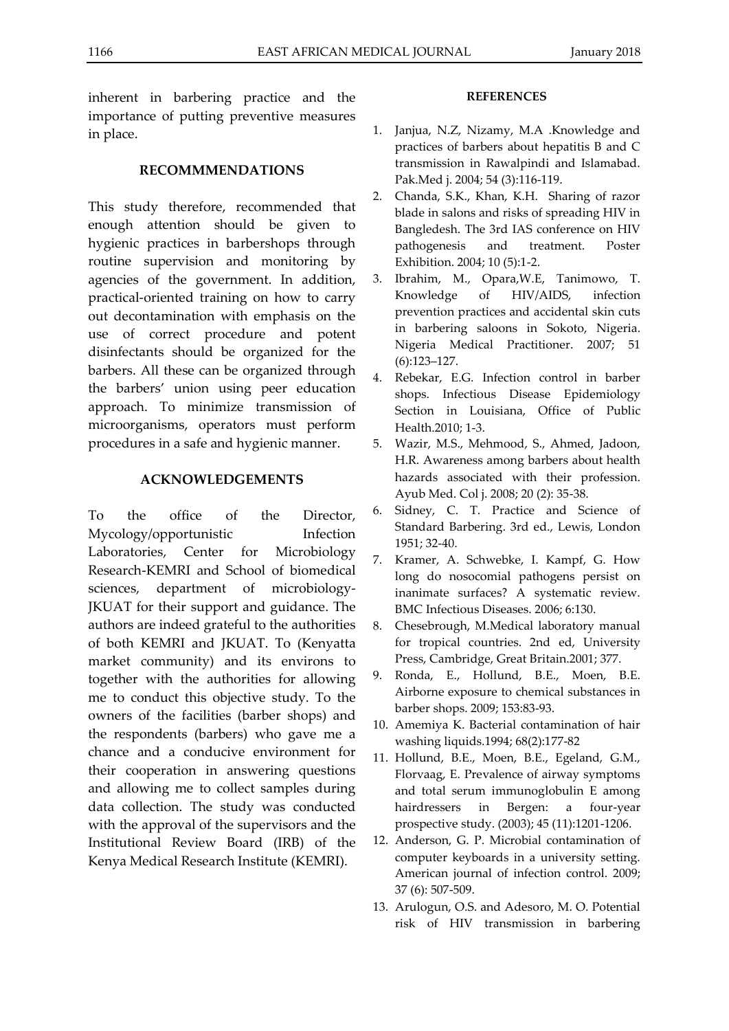inherent in barbering practice and the importance of putting preventive measures in place.

#### **RECOMMMENDATIONS**

This study therefore, recommended that enough attention should be given to hygienic practices in barbershops through routine supervision and monitoring by agencies of the government. In addition, practical-oriented training on how to carry out decontamination with emphasis on the use of correct procedure and potent disinfectants should be organized for the barbers. All these can be organized through the barbers' union using peer education approach. To minimize transmission of microorganisms, operators must perform procedures in a safe and hygienic manner.

## **ACKNOWLEDGEMENTS**

To the office of the Director, Mycology/opportunistic Infection Laboratories, Center for Microbiology Research-KEMRI and School of biomedical sciences, department of microbiology-JKUAT for their support and guidance. The authors are indeed grateful to the authorities of both KEMRI and JKUAT. To (Kenyatta market community) and its environs to together with the authorities for allowing me to conduct this objective study. To the owners of the facilities (barber shops) and the respondents (barbers) who gave me a chance and a conducive environment for their cooperation in answering questions and allowing me to collect samples during data collection. The study was conducted with the approval of the supervisors and the Institutional Review Board (IRB) of the Kenya Medical Research Institute (KEMRI).

#### **REFERENCES**

- 1. Janjua, N.Z, Nizamy, M.A .Knowledge and practices of barbers about hepatitis B and C transmission in Rawalpindi and Islamabad. Pak.Med j. 2004; 54 (3):116-119.
- 2. Chanda, S.K., Khan, K.H. Sharing of razor blade in salons and risks of spreading HIV in Bangledesh. The 3rd IAS conference on HIV pathogenesis and treatment. Poster Exhibition. 2004; 10 (5):1-2.
- 3. Ibrahim, M., Opara,W.E, Tanimowo, T. Knowledge of HIV/AIDS, infection prevention practices and accidental skin cuts in barbering saloons in Sokoto, Nigeria. Nigeria Medical Practitioner. 2007; 51 (6):123–127.
- 4. Rebekar, E.G. Infection control in barber shops. Infectious Disease Epidemiology Section in Louisiana, Office of Public Health.2010; 1-3.
- 5. Wazir, M.S., Mehmood, S., Ahmed, Jadoon, H.R. Awareness among barbers about health hazards associated with their profession. Ayub Med. Col j. 2008; 20 (2): 35-38.
- 6. Sidney, C. T. Practice and Science of Standard Barbering. 3rd ed., Lewis, London 1951; 32-40.
- 7. Kramer, A. Schwebke, I. Kampf, G. How long do nosocomial pathogens persist on inanimate surfaces? A systematic review. BMC Infectious Diseases. 2006; 6:130.
- 8. Chesebrough, M.Medical laboratory manual for tropical countries. 2nd ed, University Press, Cambridge, Great Britain.2001; 377.
- 9. Ronda, E., Hollund, B.E., Moen, B.E. Airborne exposure to chemical substances in barber shops. 2009; 153:83-93.
- 10. Amemiya K. Bacterial contamination of hair washing liquids.1994; 68(2):177-82
- 11. Hollund, B.E., Moen, B.E., Egeland, G.M., Florvaag, E. Prevalence of airway symptoms and total serum immunoglobulin E among hairdressers in Bergen: a four-year prospective study. (2003); 45 (11):1201-1206.
- 12. Anderson, G. P. Microbial contamination of computer keyboards in a university setting. American journal of infection control. 2009; 37 (6): 507-509.
- 13. Arulogun, O.S. and Adesoro, M. O. Potential risk of HIV transmission in barbering